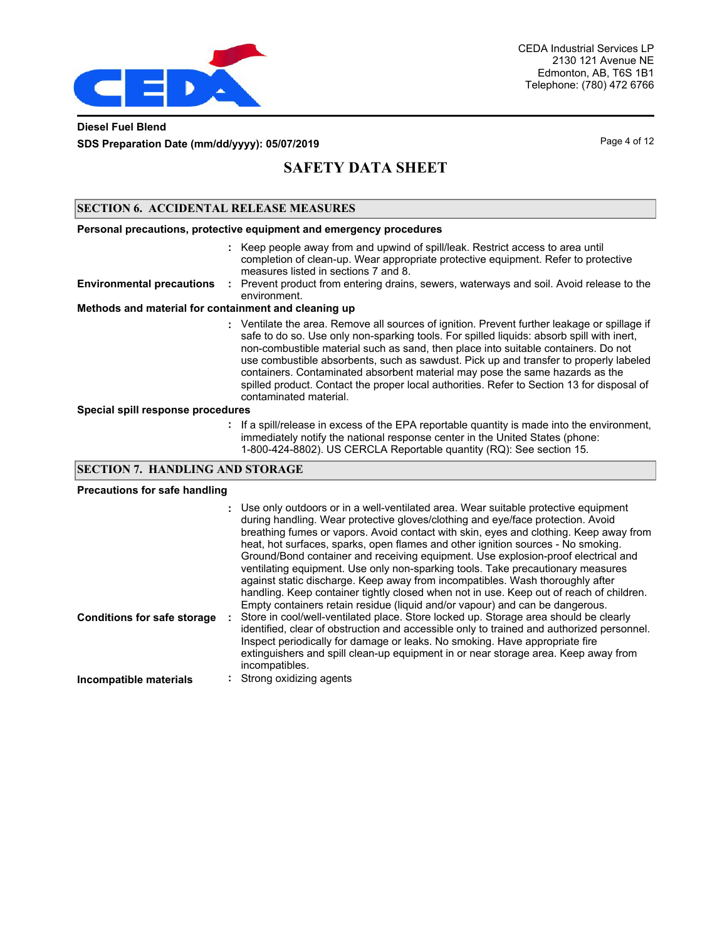

### **Diesel Fuel Blend SDS Preparation Date (mm/dd/yyyy): 05/07/2019 Page 4 of 12** Page 4 of 12

# **SAFETY DATA SHEET**

### **SECTION 6. ACCIDENTAL RELEASE MEASURES**

|                                                      | Personal precautions, protective equipment and emergency procedures                                                                                                                                                                                                                                                                                                                                                                                                                                                                                                              |  |  |  |  |
|------------------------------------------------------|----------------------------------------------------------------------------------------------------------------------------------------------------------------------------------------------------------------------------------------------------------------------------------------------------------------------------------------------------------------------------------------------------------------------------------------------------------------------------------------------------------------------------------------------------------------------------------|--|--|--|--|
|                                                      | : Keep people away from and upwind of spill/leak. Restrict access to area until<br>completion of clean-up. Wear appropriate protective equipment. Refer to protective<br>measures listed in sections 7 and 8.                                                                                                                                                                                                                                                                                                                                                                    |  |  |  |  |
| <b>Environmental precautions</b>                     | : Prevent product from entering drains, sewers, waterways and soil. Avoid release to the<br>environment.                                                                                                                                                                                                                                                                                                                                                                                                                                                                         |  |  |  |  |
| Methods and material for containment and cleaning up |                                                                                                                                                                                                                                                                                                                                                                                                                                                                                                                                                                                  |  |  |  |  |
|                                                      | : Ventilate the area. Remove all sources of ignition. Prevent further leakage or spillage if<br>safe to do so. Use only non-sparking tools. For spilled liquids: absorb spill with inert,<br>non-combustible material such as sand, then place into suitable containers. Do not<br>use combustible absorbents, such as sawdust. Pick up and transfer to properly labeled<br>containers. Contaminated absorbent material may pose the same hazards as the<br>spilled product. Contact the proper local authorities. Refer to Section 13 for disposal of<br>contaminated material. |  |  |  |  |
| Special spill response procedures                    |                                                                                                                                                                                                                                                                                                                                                                                                                                                                                                                                                                                  |  |  |  |  |
|                                                      | : If a spill/release in excess of the EPA reportable quantity is made into the environment,<br>immediately notify the national response center in the United States (phone:<br>1-800-424-8802). US CERCLA Reportable quantity (RQ): See section 15.                                                                                                                                                                                                                                                                                                                              |  |  |  |  |

### **SECTION 7. HANDLING AND STORAGE**

#### **Precautions for safe handling**

| <b>Conditions for safe storage</b> | : Use only outdoors or in a well-ventilated area. Wear suitable protective equipment<br>during handling. Wear protective gloves/clothing and eye/face protection. Avoid<br>breathing fumes or vapors. Avoid contact with skin, eyes and clothing. Keep away from<br>heat, hot surfaces, sparks, open flames and other ignition sources - No smoking.<br>Ground/Bond container and receiving equipment. Use explosion-proof electrical and<br>ventilating equipment. Use only non-sparking tools. Take precautionary measures<br>against static discharge. Keep away from incompatibles. Wash thoroughly after<br>handling. Keep container tightly closed when not in use. Keep out of reach of children.<br>Empty containers retain residue (liquid and/or vapour) and can be dangerous.<br>Store in cool/well-ventilated place. Store locked up. Storage area should be clearly<br>identified, clear of obstruction and accessible only to trained and authorized personnel.<br>Inspect periodically for damage or leaks. No smoking. Have appropriate fire |
|------------------------------------|--------------------------------------------------------------------------------------------------------------------------------------------------------------------------------------------------------------------------------------------------------------------------------------------------------------------------------------------------------------------------------------------------------------------------------------------------------------------------------------------------------------------------------------------------------------------------------------------------------------------------------------------------------------------------------------------------------------------------------------------------------------------------------------------------------------------------------------------------------------------------------------------------------------------------------------------------------------------------------------------------------------------------------------------------------------|
| Incompatible materials             | extinguishers and spill clean-up equipment in or near storage area. Keep away from<br>incompatibles.<br>: Strong oxidizing agents                                                                                                                                                                                                                                                                                                                                                                                                                                                                                                                                                                                                                                                                                                                                                                                                                                                                                                                            |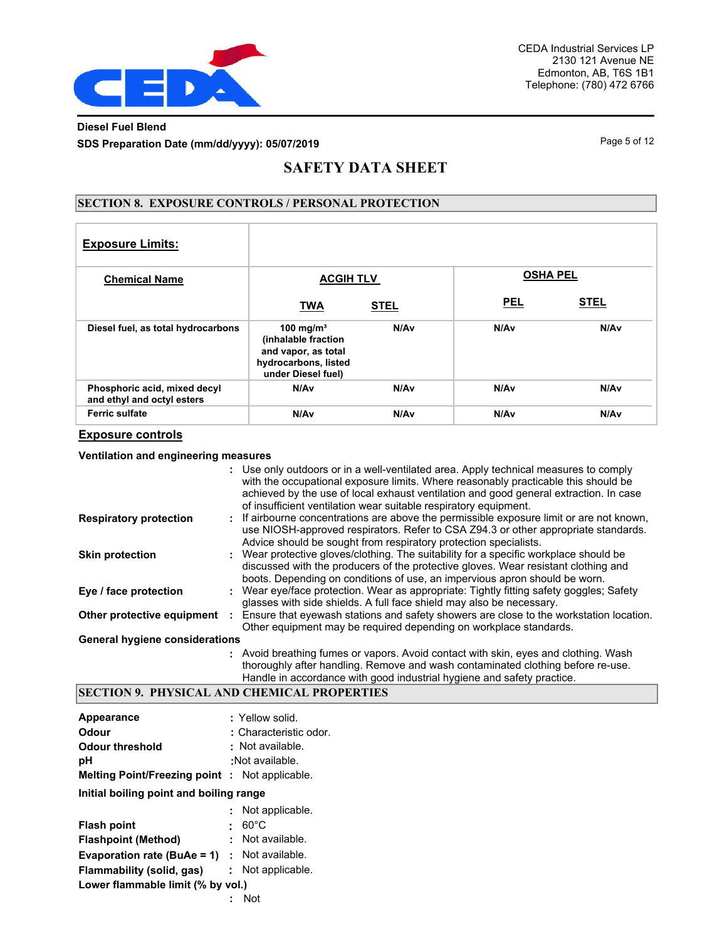

### **Diesel Fuel Blend SDS Preparation Date (mm/dd/yyyy): 05/07/2019 Page 5 of 12 Page 5 of 12**

## **SAFETY DATA SHEET**

### **SECTION 8. EXPOSURE CONTROLS / PERSONAL PROTECTION**

| <b>Exposure Limits:</b>                                    |                                                                                                                   |                  |                 |                  |
|------------------------------------------------------------|-------------------------------------------------------------------------------------------------------------------|------------------|-----------------|------------------|
| <b>Chemical Name</b>                                       | <b>ACGIH TLV</b>                                                                                                  |                  | <b>OSHA PEL</b> |                  |
|                                                            | <b>TWA</b>                                                                                                        | <b>STEL</b>      | <b>PEL</b>      | <b>STEL</b>      |
| Diesel fuel, as total hydrocarbons                         | 100 mg/m <sup>3</sup><br>(inhalable fraction<br>and vapor, as total<br>hydrocarbons, listed<br>under Diesel fuel) | N/A <sub>v</sub> | N/Av            | N/A <sub>v</sub> |
| Phosphoric acid, mixed decyl<br>and ethyl and octyl esters | N/Av                                                                                                              | N/Av             | N/Av            | N/A <sub>v</sub> |
| <b>Ferric sulfate</b>                                      | N/Av                                                                                                              | N/Av             | N/Av            | N/Av             |

### **Exposure controls**

#### **Ventilation and engineering measures**

|                                       | Use only outdoors or in a well-ventilated area. Apply technical measures to comply<br>with the occupational exposure limits. Where reasonably practicable this should be<br>achieved by the use of local exhaust ventilation and good general extraction. In case<br>of insufficient ventilation wear suitable respiratory equipment. |
|---------------------------------------|---------------------------------------------------------------------------------------------------------------------------------------------------------------------------------------------------------------------------------------------------------------------------------------------------------------------------------------|
| <b>Respiratory protection</b>         | : If airbourne concentrations are above the permissible exposure limit or are not known,<br>use NIOSH-approved respirators. Refer to CSA Z94.3 or other appropriate standards.<br>Advice should be sought from respiratory protection specialists.                                                                                    |
| <b>Skin protection</b>                | : Wear protective gloves/clothing. The suitability for a specific workplace should be<br>discussed with the producers of the protective gloves. Wear resistant clothing and<br>boots. Depending on conditions of use, an impervious apron should be worn.                                                                             |
| Eye / face protection                 | Wear eye/face protection. Wear as appropriate: Tightly fitting safety goggles; Safety<br>glasses with side shields. A full face shield may also be necessary.                                                                                                                                                                         |
| Other protective equipment            | Ensure that eyewash stations and safety showers are close to the workstation location.<br>Other equipment may be required depending on workplace standards.                                                                                                                                                                           |
| <b>General hygiene considerations</b> |                                                                                                                                                                                                                                                                                                                                       |
|                                       | : Avoid breathing fumes or vapors. Avoid contact with skin, eyes and clothing. Wash<br>thoroughly after handling. Remove and wash contaminated clothing before re-use.                                                                                                                                                                |

Handle in accordance with good industrial hygiene and safety practice.

### **SECTION 9. PHYSICAL AND CHEMICAL PROPERTIES**

| : Yellow solid.                                      |
|------------------------------------------------------|
| : Characteristic odor. $\Box$                        |
| : Not available.                                     |
| : $\Box$ Not available.                              |
| <b>Melting Point/Freezing point: Not applicable.</b> |
| Initial boiling point and boiling range              |
| Not applicable.                                      |
| $60^{\circ}$ C                                       |
| : Not available.                                     |
| <b>Evaporation rate (BuAe = 1)</b> : Not available.  |
| Not applicable.<br>t.                                |
| Lower flammable limit (% by vol.)                    |
| Not DEYEDELEOEDEEOEH                                 |
| Flammability (solid, gas)                            |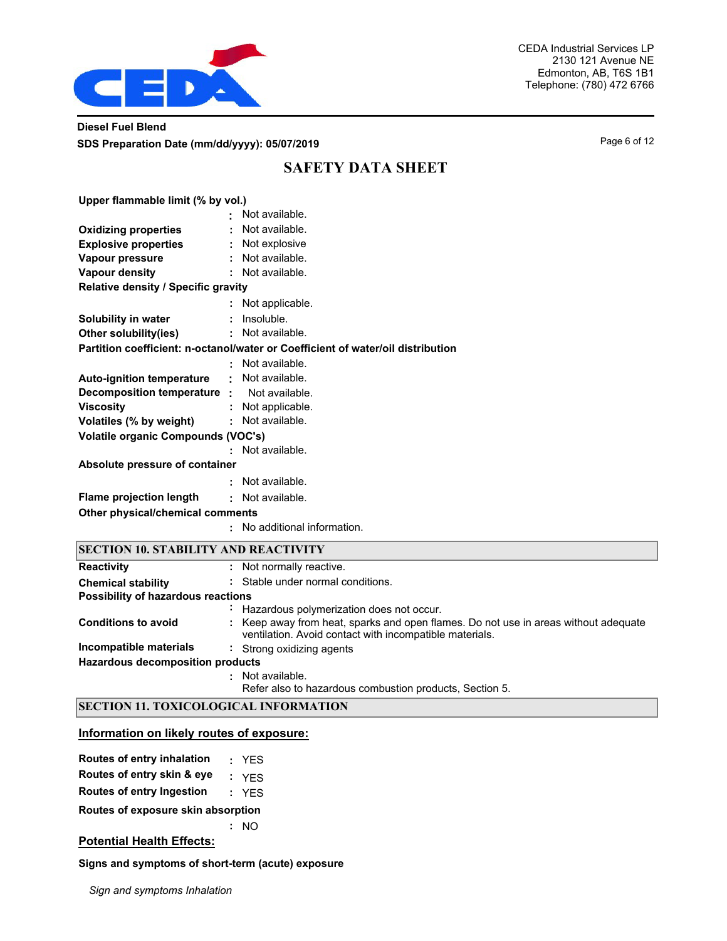

### **Diesel Fuel Blend SDS Preparation Date (mm/dd/yyyy): 05/07/2019 Page 6 of 12 Page 6 of 12**

## **SAFETY DATA SHEET**

| Upper flammable limit (% by vol.)                 |   |                                                                                 |  |  |  |
|---------------------------------------------------|---|---------------------------------------------------------------------------------|--|--|--|
|                                                   |   | Not available.                                                                  |  |  |  |
| <b>Oxidizing properties</b>                       |   | : Not available.                                                                |  |  |  |
| <b>Explosive properties</b>                       |   | : Not explosive                                                                 |  |  |  |
| Vapour pressure                                   |   | : Not available.                                                                |  |  |  |
| <b>Vapour density</b>                             |   | : Not available.                                                                |  |  |  |
| <b>Relative density / Specific gravity</b>        |   |                                                                                 |  |  |  |
|                                                   |   | : Not applicable.                                                               |  |  |  |
| Solubility in water                               |   | $:$ Insoluble.                                                                  |  |  |  |
| Other solubility(ies)                             |   | : Not available.                                                                |  |  |  |
|                                                   |   | Partition coefficient: n-octanol/water or Coefficient of water/oil distribution |  |  |  |
|                                                   |   | : Not available.                                                                |  |  |  |
| Auto-ignition temperature : Not available.        |   |                                                                                 |  |  |  |
| <b>Decomposition temperature :</b> Not available. |   |                                                                                 |  |  |  |
| <b>Viscosity</b>                                  |   | : Not applicable.                                                               |  |  |  |
| Volatiles (% by weight)                           |   | : Not available.                                                                |  |  |  |
| <b>Volatile organic Compounds (VOC's)</b>         |   |                                                                                 |  |  |  |
|                                                   |   | : Not available.                                                                |  |  |  |
| Absolute pressure of container                    |   |                                                                                 |  |  |  |
|                                                   |   | : Not available.                                                                |  |  |  |
| Flame projection length                           |   | : Not available.                                                                |  |  |  |
| Other physical/chemical comments                  |   |                                                                                 |  |  |  |
|                                                   |   | : No additional information.                                                    |  |  |  |
| <b>SECTION 10. STABILITY AND REACTIVITY</b>       |   |                                                                                 |  |  |  |
| <b>Reactivity</b>                                 | ÷ | Not normally reactive.                                                          |  |  |  |
| <b>Chemical stability</b>                         |   | : Stable under normal conditions.                                               |  |  |  |
| <b>Possibility of hazardous reactions</b>         |   |                                                                                 |  |  |  |

|                                         | : Hazardous polymerization does not occur.                                                                                                     |
|-----------------------------------------|------------------------------------------------------------------------------------------------------------------------------------------------|
| <b>Conditions to avoid</b>              | : Keep away from heat, sparks and open flames. Do not use in areas without adequate<br>ventilation. Avoid contact with incompatible materials. |
| Incompatible materials                  | : Strong oxidizing agents                                                                                                                      |
| <b>Hazardous decomposition products</b> |                                                                                                                                                |
|                                         | Not available.<br>Refer also to hazardous combustion products, Section 5.                                                                      |

### **SECTION 11. TOXICOLOGICAL INFORMATION**

#### **Information on likely routes of exposure:**

| Routes of entry inhalation         | : YFS |
|------------------------------------|-------|
| Routes of entry skin & eye         | : YFS |
| <b>Routes of entry Ingestion</b>   | : YFS |
| Routes of exposure skin absorption |       |
|                                    | : MO  |
| <b>Potential Health Effects:</b>   |       |

### **Signs and symptoms of short-term (acute) exposure**

*Sign and symptoms Inhalation*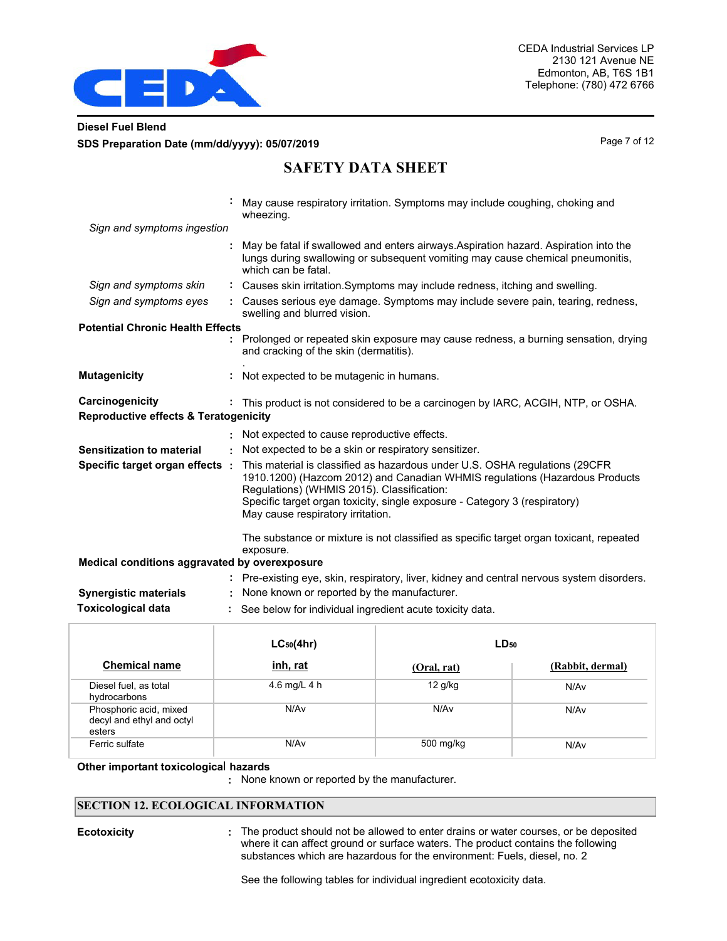

### **Diesel Fuel Blend SDS Preparation Date (mm/dd/yyyy): 05/07/2019 Page 7 of 12 Page 7 of 12**

## **SAFETY DATA SHEET**

|                                                                     |    | May cause respiratory irritation. Symptoms may include coughing, choking and<br>wheezing.                                                                                                                                                                                                                                   |
|---------------------------------------------------------------------|----|-----------------------------------------------------------------------------------------------------------------------------------------------------------------------------------------------------------------------------------------------------------------------------------------------------------------------------|
| Sign and symptoms ingestion                                         |    |                                                                                                                                                                                                                                                                                                                             |
|                                                                     |    | May be fatal if swallowed and enters airways. Aspiration hazard. Aspiration into the<br>lungs during swallowing or subsequent vomiting may cause chemical pneumonitis.<br>which can be fatal.                                                                                                                               |
| Sign and symptoms skin                                              |    | : Causes skin irritation. Symptoms may include redness, itching and swelling.                                                                                                                                                                                                                                               |
| Sign and symptoms eyes                                              |    | Causes serious eye damage. Symptoms may include severe pain, tearing, redness,<br>swelling and blurred vision.                                                                                                                                                                                                              |
| <b>Potential Chronic Health Effects</b>                             |    |                                                                                                                                                                                                                                                                                                                             |
|                                                                     |    | Prolonged or repeated skin exposure may cause redness, a burning sensation, drying<br>and cracking of the skin (dermatitis).                                                                                                                                                                                                |
| <b>Mutagenicity</b>                                                 |    | Not expected to be mutagenic in humans.                                                                                                                                                                                                                                                                                     |
| Carcinogenicity<br><b>Reproductive effects &amp; Teratogenicity</b> |    | : This product is not considered to be a carcinogen by IARC, ACGIH, NTP, or OSHA.                                                                                                                                                                                                                                           |
|                                                                     |    | Not expected to cause reproductive effects.                                                                                                                                                                                                                                                                                 |
| <b>Sensitization to material</b>                                    | ÷. | Not expected to be a skin or respiratory sensitizer.                                                                                                                                                                                                                                                                        |
| Specific target organ effects :                                     |    | This material is classified as hazardous under U.S. OSHA regulations (29CFR<br>1910.1200) (Hazcom 2012) and Canadian WHMIS regulations (Hazardous Products<br>Regulations) (WHMIS 2015). Classification:<br>Specific target organ toxicity, single exposure - Category 3 (respiratory)<br>May cause respiratory irritation. |
|                                                                     |    | The substance or mixture is not classified as specific target organ toxicant, repeated<br>exposure.                                                                                                                                                                                                                         |
| Medical conditions aggravated by overexposure                       |    |                                                                                                                                                                                                                                                                                                                             |
|                                                                     |    | : Pre-existing eye, skin, respiratory, liver, kidney and central nervous system disorders.                                                                                                                                                                                                                                  |
| <b>Synergistic materials</b>                                        |    | None known or reported by the manufacturer.                                                                                                                                                                                                                                                                                 |
| <b>Toxicological data</b>                                           |    | See below for individual ingredient acute toxicity data.                                                                                                                                                                                                                                                                    |

|                                                               | $LC_{50}(4hr)$   | $LD_{50}$   |                  |
|---------------------------------------------------------------|------------------|-------------|------------------|
| <b>Chemical name</b>                                          | inh, rat         | (Oral, rat) | (Rabbit, dermal) |
| Diesel fuel, as total<br>hydrocarbons                         | 4.6 mg/L 4 h     | $12$ g/kg   | N/Av             |
| Phosphoric acid, mixed<br>decyl and ethyl and octyl<br>esters | N/A <sub>v</sub> | N/Av        | N/Av             |
| Ferric sulfate                                                | N/A <sub>v</sub> | 500 mg/kg   | N/Av             |

**Other important toxicologica**l **hazards**

**:** None known or reported by the manufacturer.

#### **SECTION 12. ECOLOGICAL INFORMATION**

**Ecotoxicity The product should not be allowed to enter drains or water courses, or be deposited <b>E** where it can affect ground or surface waters. The product contains the following substances which are hazardous for the environment: Fuels, diesel, no. 2

See the following tables for individual ingredient ecotoxicity data.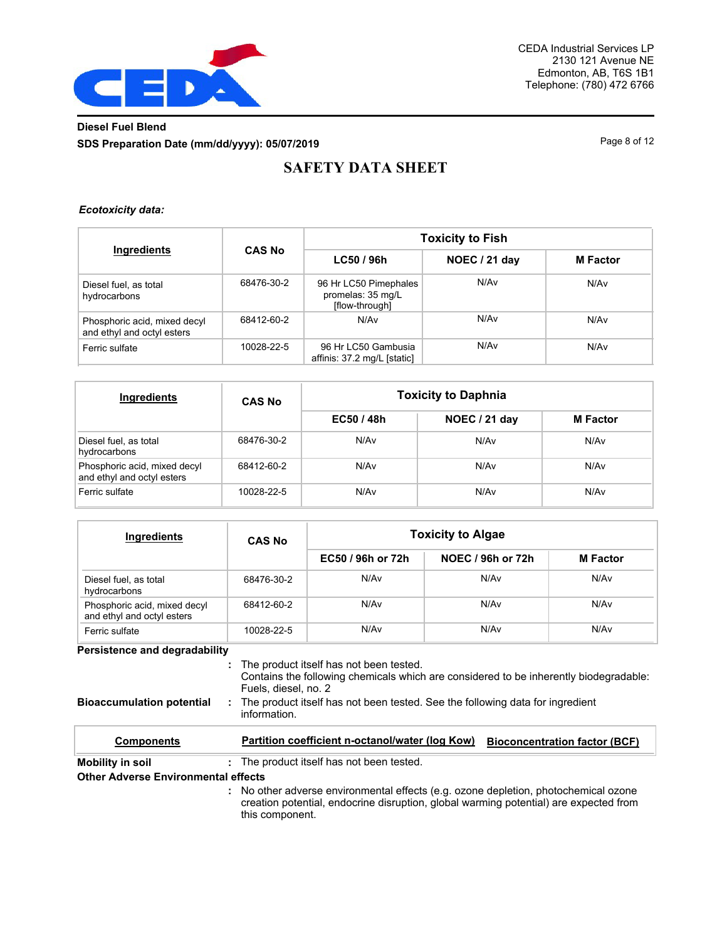

## **Diesel Fuel Blend SDS Preparation Date (mm/dd/yyyy): 05/07/2019 Page 8 of 12 Page 8 of 12**

# **SAFETY DATA SHEET**

#### *Ecotoxicity data:*

| Ingredients                                                | <b>CAS No</b> | <b>Toxicity to Fish</b>                                      |               |                 |  |
|------------------------------------------------------------|---------------|--------------------------------------------------------------|---------------|-----------------|--|
|                                                            |               | LC50 / 96h                                                   | NOEC / 21 day | <b>M</b> Factor |  |
| Diesel fuel, as total<br>hydrocarbons                      | 68476-30-2    | 96 Hr LC50 Pimephales<br>promelas: 35 mg/L<br>[flow-through] | N/Av          | N/Av            |  |
| Phosphoric acid, mixed decyl<br>and ethyl and octyl esters | 68412-60-2    | N/Av                                                         | N/Av          | N/Av            |  |
| Ferric sulfate                                             | 10028-22-5    | 96 Hr LC50 Gambusia<br>affinis: 37.2 mg/L [static]           | N/Av          | N/Av            |  |

| <b>Ingredients</b>                                         | <b>CAS No</b> | <b>Toxicity to Daphnia</b> |               |                 |  |
|------------------------------------------------------------|---------------|----------------------------|---------------|-----------------|--|
|                                                            |               | EC50 / 48h                 | NOEC / 21 day | <b>M</b> Factor |  |
| Diesel fuel, as total<br>hydrocarbons                      | 68476-30-2    | N/Av                       | N/Av          | N/Av            |  |
| Phosphoric acid, mixed decyl<br>and ethyl and octyl esters | 68412-60-2    | N/Av                       | N/Av          | N/Av            |  |
| Ferric sulfate                                             | 10028-22-5    | N/Av                       | N/Av          | N/Av            |  |

| Ingredients                                                | <b>CAS No</b> | <b>Toxicity to Algae</b> |                   |                 |  |  |
|------------------------------------------------------------|---------------|--------------------------|-------------------|-----------------|--|--|
|                                                            |               | EC50 / 96h or 72h        | NOEC / 96h or 72h | <b>M</b> Factor |  |  |
| Diesel fuel, as total<br>hydrocarbons                      | 68476-30-2    | N/A <sub>v</sub>         | N/Av              | N/Av            |  |  |
| Phosphoric acid, mixed decyl<br>and ethyl and octyl esters | 68412-60-2    | N/A <sub>v</sub>         | N/Av              | N/Av            |  |  |
| Ferric sulfate                                             | 10028-22-5    | N/A <sub>v</sub>         | N/Av              | N/Av            |  |  |

#### **Persistence and degradability**

The product itself has not been tested. **:**

Contains the following chemicals which are considered to be inherently biodegradable: Fuels, diesel, no. 2

**Bioaccumulation potential :** The product itself has not been tested. See the following data for ingredient information.

| <b>Components</b>                          | Partition coefficient n-octanol/water (log Kow)                                                                                                                                                                                                                                                                          | <b>Bioconcentration factor (BCF)</b> |
|--------------------------------------------|--------------------------------------------------------------------------------------------------------------------------------------------------------------------------------------------------------------------------------------------------------------------------------------------------------------------------|--------------------------------------|
| Mobility in soil                           | : The product itself has not been tested.                                                                                                                                                                                                                                                                                |                                      |
| <b>Other Adverse Environmental effects</b> |                                                                                                                                                                                                                                                                                                                          |                                      |
|                                            | : No other adverse environmental effects (e.g. ozone depletion, photochemical ozone<br>$\alpha$ , and the model and the model of the model of the model of the model of the model of the model of the model of the model of the model of the model of the model of the model of the model of the model of the model of t |                                      |

creation potential, endocrine disruption, global warming potential) are expected from this component.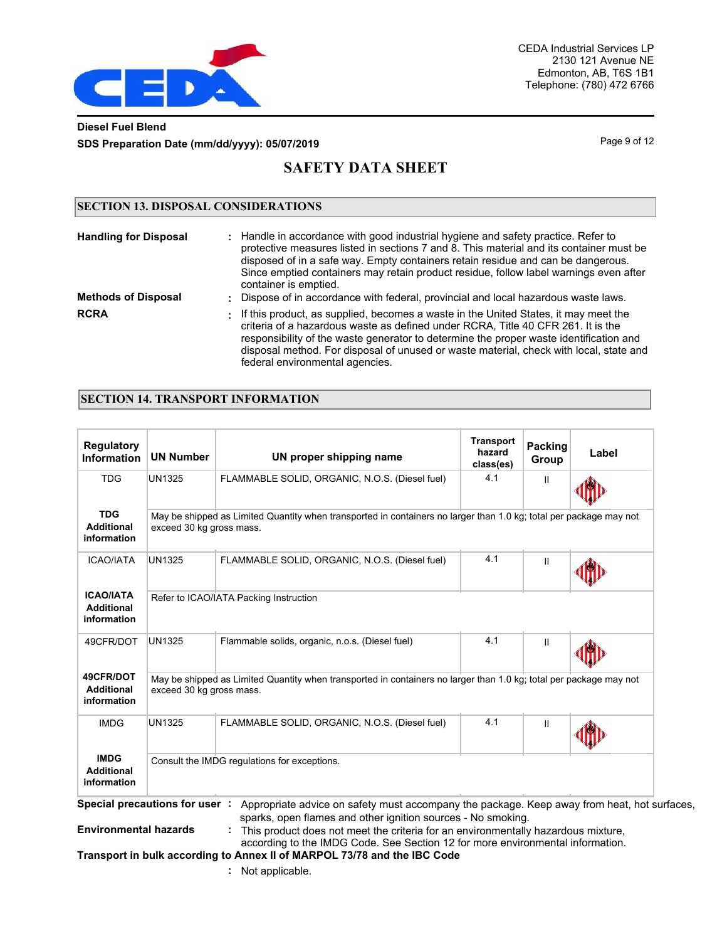

### **Diesel Fuel Blend SDS Preparation Date (mm/dd/yyyy): 05/07/2019 Page 9 of 12 Page 9 of 12**

# **SAFETY DATA SHEET**

### **SECTION 13. DISPOSAL CONSIDERATIONS**

| <b>Handling for Disposal</b> | : Handle in accordance with good industrial hygiene and safety practice. Refer to<br>protective measures listed in sections 7 and 8. This material and its container must be<br>disposed of in a safe way. Empty containers retain residue and can be dangerous.<br>Since emptied containers may retain product residue, follow label warnings even after<br>container is emptied.               |
|------------------------------|--------------------------------------------------------------------------------------------------------------------------------------------------------------------------------------------------------------------------------------------------------------------------------------------------------------------------------------------------------------------------------------------------|
| <b>Methods of Disposal</b>   | : Dispose of in accordance with federal, provincial and local hazardous waste laws.                                                                                                                                                                                                                                                                                                              |
| <b>RCRA</b>                  | . If this product, as supplied, becomes a waste in the United States, it may meet the<br>criteria of a hazardous waste as defined under RCRA, Title 40 CFR 261. It is the<br>responsibility of the waste generator to determine the proper waste identification and<br>disposal method. For disposal of unused or waste material, check with local, state and<br>federal environmental agencies. |

### **SECTION 14. TRANSPORT INFORMATION**

| <b>Regulatory</b><br><b>Information</b>              | <b>UN Number</b>                       | UN proper shipping name                                                                                            | <b>Transport</b><br>hazard<br>class(es) | Packing<br>Group | Label |  |  |
|------------------------------------------------------|----------------------------------------|--------------------------------------------------------------------------------------------------------------------|-----------------------------------------|------------------|-------|--|--|
| <b>TDG</b>                                           | <b>UN1325</b>                          | FLAMMABLE SOLID, ORGANIC, N.O.S. (Diesel fuel)                                                                     | 4.1                                     | Ш                |       |  |  |
| <b>TDG</b><br><b>Additional</b><br>information       | exceed 30 kg gross mass.               | May be shipped as Limited Quantity when transported in containers no larger than 1.0 kg; total per package may not |                                         |                  |       |  |  |
| <b>ICAO/IATA</b>                                     | <b>UN1325</b>                          | FLAMMABLE SOLID, ORGANIC, N.O.S. (Diesel fuel)                                                                     | 4.1                                     | Ш                |       |  |  |
| <b>ICAO/IATA</b><br><b>Additional</b><br>information | Refer to ICAO/IATA Packing Instruction |                                                                                                                    |                                         |                  |       |  |  |
| 49CFR/DOT                                            | <b>UN1325</b>                          | Flammable solids, organic, n.o.s. (Diesel fuel)                                                                    | 4.1                                     | $\mathbf{I}$     |       |  |  |
| 49CFR/DOT<br><b>Additional</b><br>information        | exceed 30 kg gross mass.               | May be shipped as Limited Quantity when transported in containers no larger than 1.0 kg; total per package may not |                                         |                  |       |  |  |
| <b>IMDG</b>                                          | <b>UN1325</b>                          | FLAMMABLE SOLID, ORGANIC, N.O.S. (Diesel fuel)                                                                     | 4.1                                     | Ш                |       |  |  |
| <b>IMDG</b><br><b>Additional</b><br>information      |                                        | Consult the IMDG regulations for exceptions.                                                                       |                                         |                  |       |  |  |

**Environmental hazards**

 sparks, open flames and other ignition sources - No smoking. **:** This product does not meet the criteria for an environmentally hazardous mixture,

according to the IMDG Code. See Section 12 for more environmental information.

**Transport in bulk according to Annex II of MARPOL 73/78 and the IBC Code**

**:** Not applicable.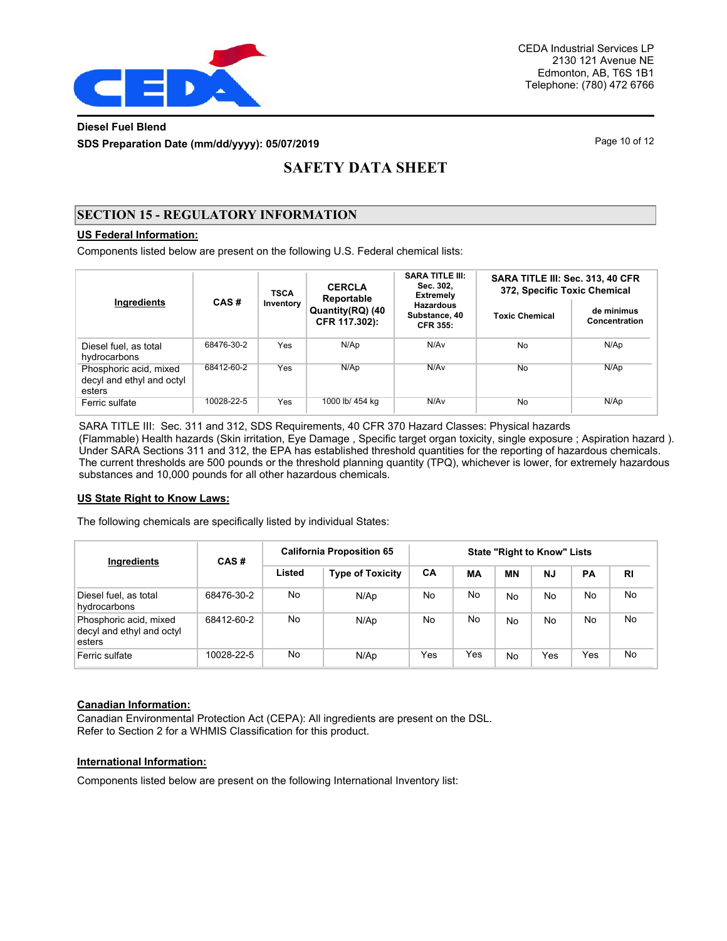

### **Diesel Fuel Blend SDS Preparation Date (mm/dd/yyyy): 05/07/2019 Page 10 of 12** Page 10 of 12

# **SAFETY DATA SHEET**

### **SECTION 15 - REGULATORY INFORMATION**

### **US Federal Information:**

Components listed below are present on the following U.S. Federal chemical lists:

|                                                               | CAS#       |           | <b>CERCLA</b><br><b>TSCA</b><br>Reportable | <b>SARA TITLE III:</b><br>Sec. 302.<br><b>Extremely</b> | SARA TITLE III: Sec. 313, 40 CFR<br>372, Specific Toxic Chemical |                             |  |
|---------------------------------------------------------------|------------|-----------|--------------------------------------------|---------------------------------------------------------|------------------------------------------------------------------|-----------------------------|--|
| Ingredients                                                   |            | Inventory | Quantity(RQ) (40<br>CFR 117.302):          | <b>Hazardous</b><br>Substance, 40<br><b>CFR 355:</b>    | <b>Toxic Chemical</b>                                            | de minimus<br>Concentration |  |
| Diesel fuel, as total<br>hydrocarbons                         | 68476-30-2 | Yes       | N/Ap                                       | N/Av                                                    | <b>No</b>                                                        | N/Ap                        |  |
| Phosphoric acid, mixed<br>decyl and ethyl and octyl<br>esters | 68412-60-2 | Yes       | N/Ap                                       | N/Av                                                    | No                                                               | N/Ap                        |  |
| Ferric sulfate                                                | 10028-22-5 | Yes       | 1000 lb/ 454 kg                            | N/Av                                                    | No                                                               | N/Ap                        |  |

SARA TITLE III: Sec. 311 and 312, SDS Requirements, 40 CFR 370 Hazard Classes: Physical hazards (Flammable) Health hazards (Skin irritation, Eye Damage , Specific target organ toxicity, single exposure ; Aspiration hazard ). Under SARA Sections 311 and 312, the EPA has established threshold quantities for the reporting of hazardous chemicals. The current thresholds are 500 pounds or the threshold planning quantity (TPQ), whichever is lower, for extremely hazardous substances and 10,000 pounds for all other hazardous chemicals.

#### **US State Right to Know Laws:**

The following chemicals are specifically listed by individual States:

| Ingredients                                                   | CAS#       | <b>California Proposition 65</b> | <b>State "Right to Know" Lists</b> |     |     |           |           |           |           |
|---------------------------------------------------------------|------------|----------------------------------|------------------------------------|-----|-----|-----------|-----------|-----------|-----------|
|                                                               |            | Listed                           | <b>Type of Toxicity</b>            | CA  | MA  | ΜN        | <b>NJ</b> | <b>PA</b> | <b>RI</b> |
| Diesel fuel, as total<br>hydrocarbons                         | 68476-30-2 | No                               | N/Ap                               | No  | No  | <b>No</b> | No        | No        | No.       |
| Phosphoric acid, mixed<br>decyl and ethyl and octyl<br>esters | 68412-60-2 | No                               | N/Ap                               | No  | No  | <b>No</b> | No        | No        | No.       |
| Ferric sulfate                                                | 10028-22-5 | No                               | N/Ap                               | Yes | Yes | <b>No</b> | Yes       | Yes       | No.       |

#### **Canadian Information:**

Canadian Environmental Protection Act (CEPA): All ingredients are present on the DSL. Refer to Section 2 for a WHMIS Classification for this product.

#### **International Information:**

Components listed below are present on the following International Inventory list: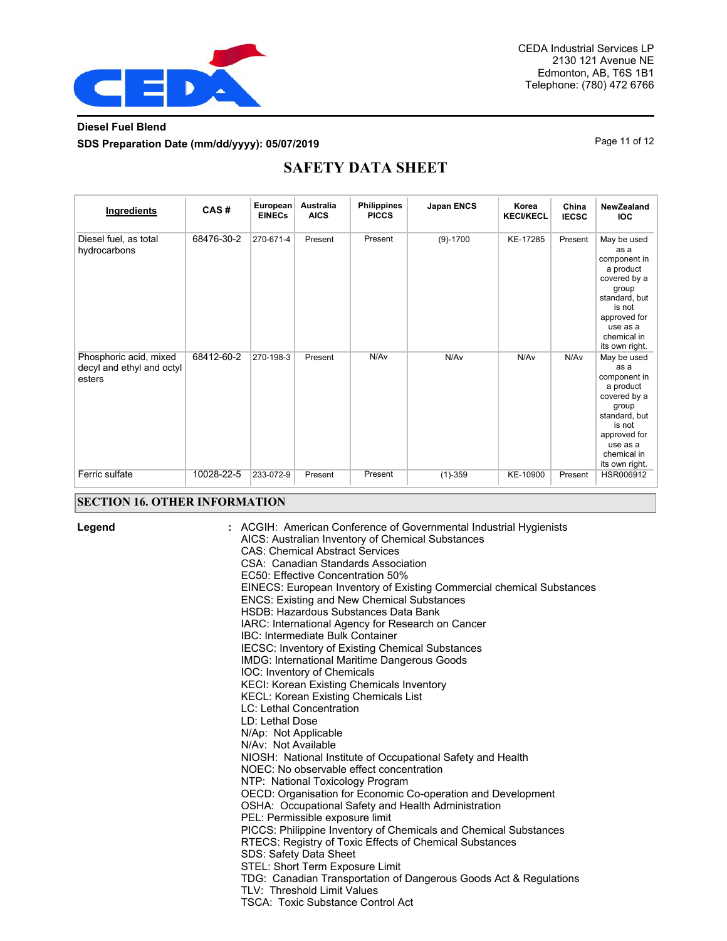

### **Diesel Fuel Blend SDS Preparation Date (mm/dd/yyyy): 05/07/2019 Page 11 of 12 Page 11 of 12**

# **SAFETY DATA SHEET**

| Ingredients                                                   | CAS#       | European<br><b>EINECs</b> | Australia<br><b>AICS</b> | <b>Philippines</b><br><b>PICCS</b> | Japan ENCS | Korea<br><b>KECI/KECL</b> | China<br><b>IECSC</b> | NewZealand<br><b>IOC</b>                                                                                                                                          |
|---------------------------------------------------------------|------------|---------------------------|--------------------------|------------------------------------|------------|---------------------------|-----------------------|-------------------------------------------------------------------------------------------------------------------------------------------------------------------|
| Diesel fuel, as total<br>hydrocarbons                         | 68476-30-2 | 270-671-4                 | Present                  | Present                            | $(9)-1700$ | KE-17285                  | Present               | May be used<br>as a<br>component in<br>a product<br>covered by a<br>group<br>standard, but<br>is not<br>approved for<br>use as a<br>chemical in<br>its own right. |
| Phosphoric acid, mixed<br>decyl and ethyl and octyl<br>esters | 68412-60-2 | 270-198-3                 | Present                  | N/Av                               | N/Av       | N/Av                      | N/Av                  | May be used<br>as a<br>component in<br>a product<br>covered by a<br>group<br>standard, but<br>is not<br>approved for<br>use as a<br>chemical in<br>its own right. |
| Ferric sulfate                                                | 10028-22-5 | 233-072-9                 | Present                  | Present                            | $(1)-359$  | KE-10900                  | Present               | HSR006912                                                                                                                                                         |

#### **SECTION 16. OTHER INFORMATION**

**Legend :**

ACGIH: American Conference of Governmental Industrial Hygienists AICS: Australian Inventory of Chemical Substances CAS: Chemical Abstract Services CSA: Canadian Standards Association EC50: Effective Concentration 50% EINECS: European Inventory of Existing Commercial chemical Substances ENCS: Existing and New Chemical Substances HSDB: Hazardous Substances Data Bank IARC: International Agency for Research on Cancer IBC: Intermediate Bulk Container IECSC: Inventory of Existing Chemical Substances IMDG: International Maritime Dangerous Goods IOC: Inventory of Chemicals KECI: Korean Existing Chemicals Inventory KECL: Korean Existing Chemicals List LC: Lethal Concentration LD: Lethal Dose N/Ap: Not Applicable N/Av: Not Available NIOSH: National Institute of Occupational Safety and Health NOEC: No observable effect concentration NTP: National Toxicology Program OECD: Organisation for Economic Co-operation and Development OSHA: Occupational Safety and Health Administration PEL: Permissible exposure limit PICCS: Philippine Inventory of Chemicals and Chemical Substances RTECS: Registry of Toxic Effects of Chemical Substances SDS: Safety Data Sheet STEL: Short Term Exposure Limit TDG: Canadian Transportation of Dangerous Goods Act & Regulations TLV: Threshold Limit Values TSCA: Toxic Substance Control Act